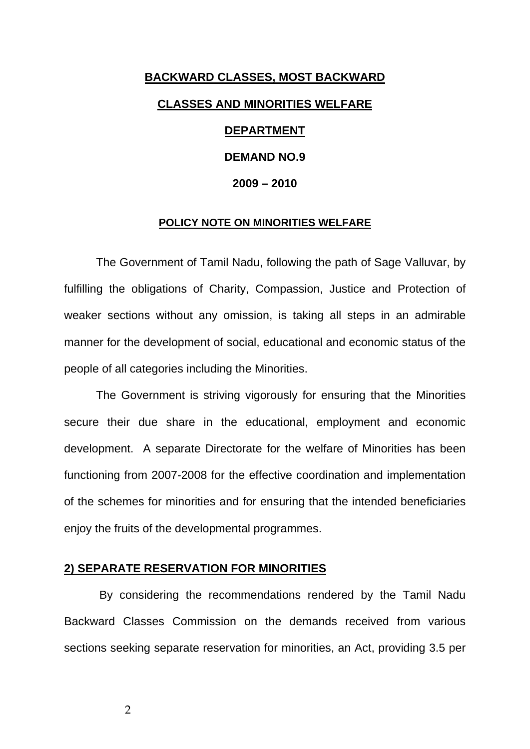# **BACKWARD CLASSES, MOST BACKWARD CLASSES AND MINORITIES WELFARE DEPARTMENT**

## **DEMAND NO.9**

## **2009 – 2010**

#### **POLICY NOTE ON MINORITIES WELFARE**

 The Government of Tamil Nadu, following the path of Sage Valluvar, by fulfilling the obligations of Charity, Compassion, Justice and Protection of weaker sections without any omission, is taking all steps in an admirable manner for the development of social, educational and economic status of the people of all categories including the Minorities.

 The Government is striving vigorously for ensuring that the Minorities secure their due share in the educational, employment and economic development. A separate Directorate for the welfare of Minorities has been functioning from 2007-2008 for the effective coordination and implementation of the schemes for minorities and for ensuring that the intended beneficiaries enjoy the fruits of the developmental programmes.

## **2) SEPARATE RESERVATION FOR MINORITIES**

 By considering the recommendations rendered by the Tamil Nadu Backward Classes Commission on the demands received from various sections seeking separate reservation for minorities, an Act, providing 3.5 per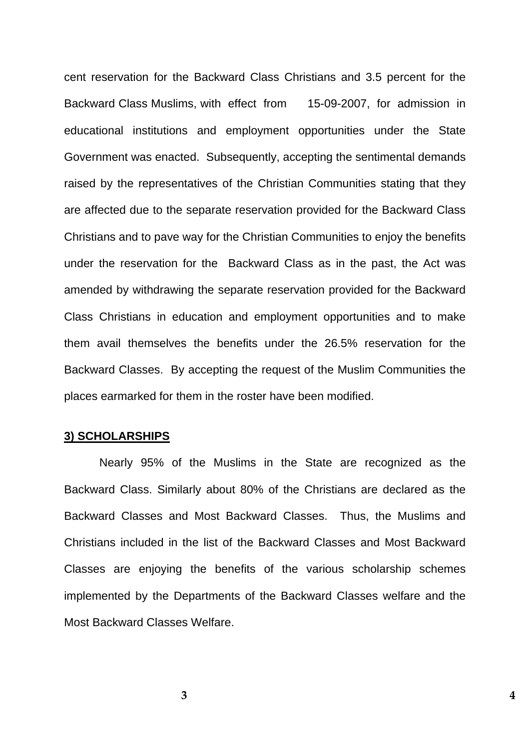cent reservation for the Backward Class Christians and 3.5 percent for the Backward Class Muslims, with effect from 15-09-2007, for admission in educational institutions and employment opportunities under the State Government was enacted. Subsequently, accepting the sentimental demands raised by the representatives of the Christian Communities stating that they are affected due to the separate reservation provided for the Backward Class Christians and to pave way for the Christian Communities to enjoy the benefits under the reservation for the Backward Class as in the past, the Act was amended by withdrawing the separate reservation provided for the Backward Class Christians in education and employment opportunities and to make them avail themselves the benefits under the 26.5% reservation for the Backward Classes. By accepting the request of the Muslim Communities the places earmarked for them in the roster have been modified.

## **3) SCHOLARSHIPS**

 Nearly 95% of the Muslims in the State are recognized as the Backward Class. Similarly about 80% of the Christians are declared as the Backward Classes and Most Backward Classes. Thus, the Muslims and Christians included in the list of the Backward Classes and Most Backward Classes are enjoying the benefits of the various scholarship schemes implemented by the Departments of the Backward Classes welfare and the Most Backward Classes Welfare.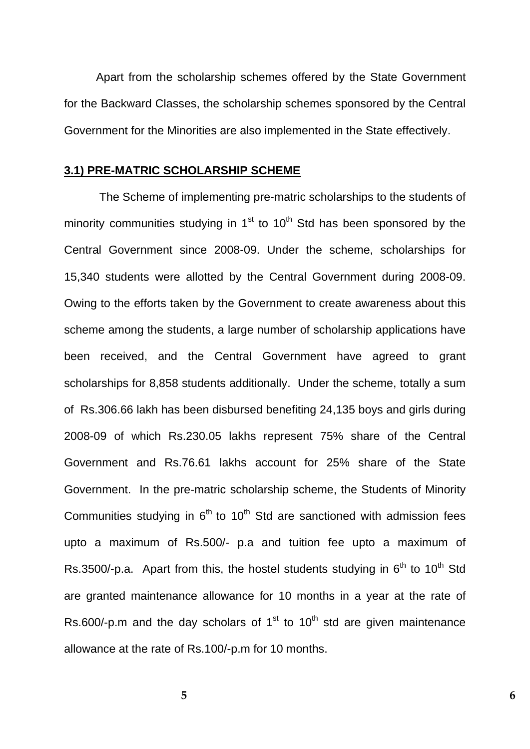Apart from the scholarship schemes offered by the State Government for the Backward Classes, the scholarship schemes sponsored by the Central Government for the Minorities are also implemented in the State effectively.

## **3.1) PRE-MATRIC SCHOLARSHIP SCHEME**

 The Scheme of implementing pre-matric scholarships to the students of minority communities studying in  $1<sup>st</sup>$  to  $10<sup>th</sup>$  Std has been sponsored by the Central Government since 2008-09. Under the scheme, scholarships for 15,340 students were allotted by the Central Government during 2008-09. Owing to the efforts taken by the Government to create awareness about this scheme among the students, a large number of scholarship applications have been received, and the Central Government have agreed to grant scholarships for 8,858 students additionally. Under the scheme, totally a sum of Rs.306.66 lakh has been disbursed benefiting 24,135 boys and girls during 2008-09 of which Rs.230.05 lakhs represent 75% share of the Central Government and Rs.76.61 lakhs account for 25% share of the State Government. In the pre-matric scholarship scheme, the Students of Minority Communities studying in  $6<sup>th</sup>$  to 10<sup>th</sup> Std are sanctioned with admission fees upto a maximum of Rs.500/- p.a and tuition fee upto a maximum of Rs.3500/-p.a. Apart from this, the hostel students studying in  $6<sup>th</sup>$  to 10<sup>th</sup> Std are granted maintenance allowance for 10 months in a year at the rate of Rs.600/-p.m and the day scholars of  $1<sup>st</sup>$  to  $10<sup>th</sup>$  std are given maintenance allowance at the rate of Rs.100/-p.m for 10 months.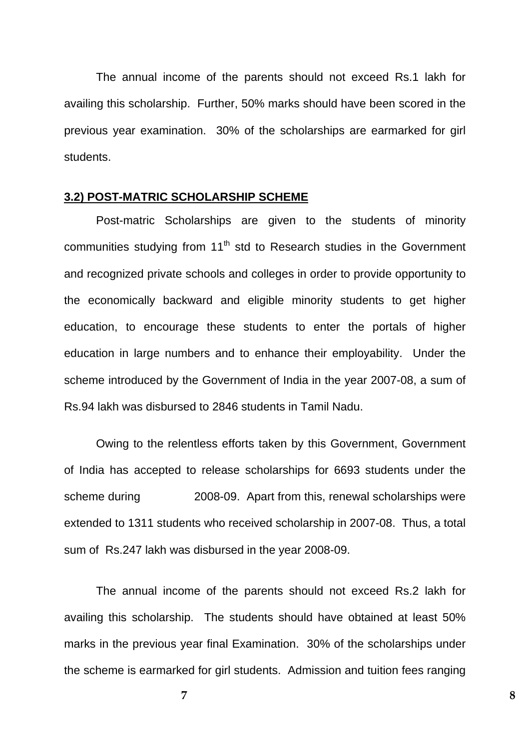The annual income of the parents should not exceed Rs.1 lakh for availing this scholarship. Further, 50% marks should have been scored in the previous year examination. 30% of the scholarships are earmarked for girl students.

## **3.2) POST-MATRIC SCHOLARSHIP SCHEME**

Post-matric Scholarships are given to the students of minority communities studying from  $11<sup>th</sup>$  std to Research studies in the Government and recognized private schools and colleges in order to provide opportunity to the economically backward and eligible minority students to get higher education, to encourage these students to enter the portals of higher education in large numbers and to enhance their employability. Under the scheme introduced by the Government of India in the year 2007-08, a sum of Rs.94 lakh was disbursed to 2846 students in Tamil Nadu.

 Owing to the relentless efforts taken by this Government, Government of India has accepted to release scholarships for 6693 students under the scheme during 2008-09. Apart from this, renewal scholarships were extended to 1311 students who received scholarship in 2007-08. Thus, a total sum of Rs.247 lakh was disbursed in the year 2008-09.

The annual income of the parents should not exceed Rs.2 lakh for availing this scholarship. The students should have obtained at least 50% marks in the previous year final Examination. 30% of the scholarships under the scheme is earmarked for girl students. Admission and tuition fees ranging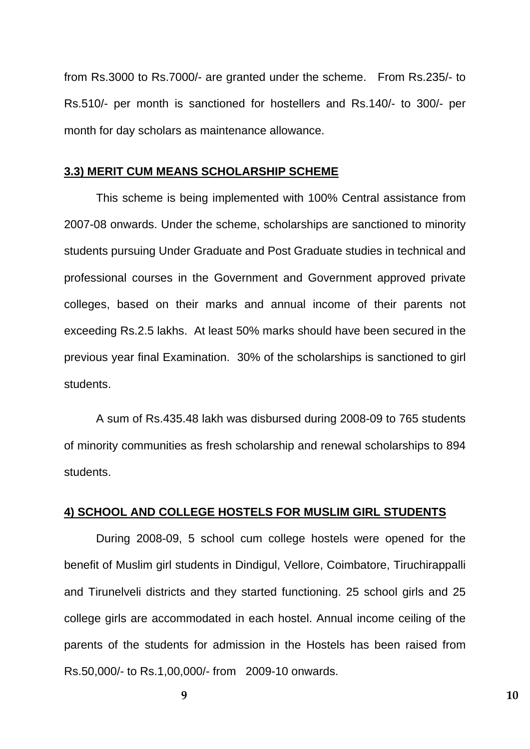from Rs.3000 to Rs.7000/- are granted under the scheme. From Rs.235/- to Rs.510/- per month is sanctioned for hostellers and Rs.140/- to 300/- per month for day scholars as maintenance allowance.

## **3.3) MERIT CUM MEANS SCHOLARSHIP SCHEME**

 This scheme is being implemented with 100% Central assistance from 2007-08 onwards. Under the scheme, scholarships are sanctioned to minority students pursuing Under Graduate and Post Graduate studies in technical and professional courses in the Government and Government approved private colleges, based on their marks and annual income of their parents not exceeding Rs.2.5 lakhs. At least 50% marks should have been secured in the previous year final Examination. 30% of the scholarships is sanctioned to girl students.

 A sum of Rs.435.48 lakh was disbursed during 2008-09 to 765 students of minority communities as fresh scholarship and renewal scholarships to 894 students.

## **4) SCHOOL AND COLLEGE HOSTELS FOR MUSLIM GIRL STUDENTS**

 During 2008-09, 5 school cum college hostels were opened for the benefit of Muslim girl students in Dindigul, Vellore, Coimbatore, Tiruchirappalli and Tirunelveli districts and they started functioning. 25 school girls and 25 college girls are accommodated in each hostel. Annual income ceiling of the parents of the students for admission in the Hostels has been raised from Rs.50,000/- to Rs.1,00,000/- from 2009-10 onwards.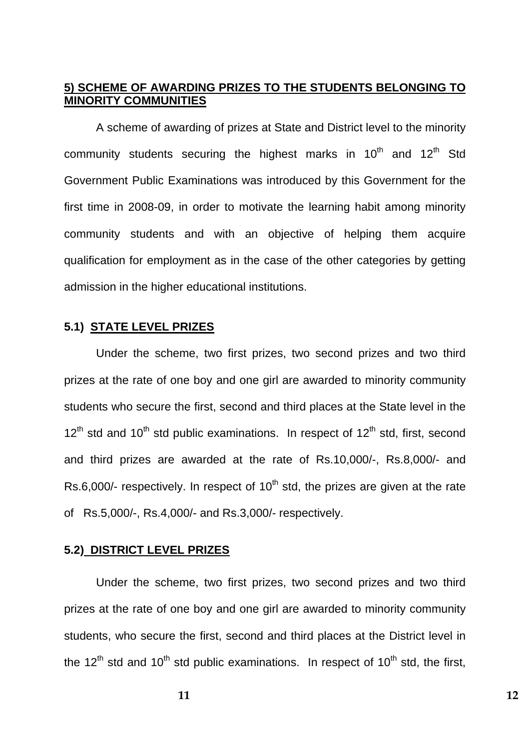## **5) SCHEME OF AWARDING PRIZES TO THE STUDENTS BELONGING TO MINORITY COMMUNITIES**

 A scheme of awarding of prizes at State and District level to the minority community students securing the highest marks in  $10^{th}$  and  $12^{th}$  Std Government Public Examinations was introduced by this Government for the first time in 2008-09, in order to motivate the learning habit among minority community students and with an objective of helping them acquire qualification for employment as in the case of the other categories by getting admission in the higher educational institutions.

## **5.1) STATE LEVEL PRIZES**

 Under the scheme, two first prizes, two second prizes and two third prizes at the rate of one boy and one girl are awarded to minority community students who secure the first, second and third places at the State level in the  $12^{th}$  std and  $10^{th}$  std public examinations. In respect of  $12^{th}$  std, first, second and third prizes are awarded at the rate of Rs.10,000/-, Rs.8,000/- and Rs.6.000/- respectively. In respect of  $10<sup>th</sup>$  std, the prizes are given at the rate of Rs.5,000/-, Rs.4,000/- and Rs.3,000/- respectively.

## **5.2) DISTRICT LEVEL PRIZES**

 Under the scheme, two first prizes, two second prizes and two third prizes at the rate of one boy and one girl are awarded to minority community students, who secure the first, second and third places at the District level in the  $12^{th}$  std and  $10^{th}$  std public examinations. In respect of  $10^{th}$  std, the first,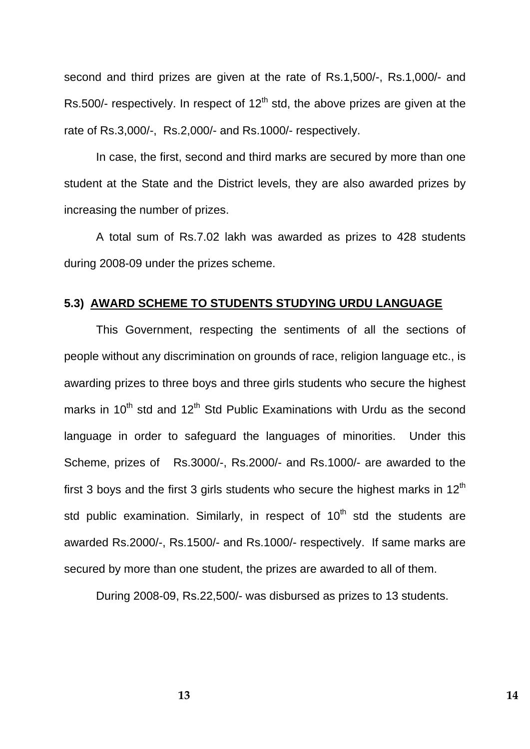second and third prizes are given at the rate of Rs.1,500/-, Rs.1,000/- and Rs.500/- respectively. In respect of  $12<sup>th</sup>$  std, the above prizes are given at the rate of Rs.3,000/-, Rs.2,000/- and Rs.1000/- respectively.

 In case, the first, second and third marks are secured by more than one student at the State and the District levels, they are also awarded prizes by increasing the number of prizes.

A total sum of Rs.7.02 lakh was awarded as prizes to 428 students during 2008-09 under the prizes scheme.

## **5.3) AWARD SCHEME TO STUDENTS STUDYING URDU LANGUAGE**

 This Government, respecting the sentiments of all the sections of people without any discrimination on grounds of race, religion language etc., is awarding prizes to three boys and three girls students who secure the highest marks in  $10^{th}$  std and  $12^{th}$  Std Public Examinations with Urdu as the second language in order to safeguard the languages of minorities. Under this Scheme, prizes of Rs.3000/-, Rs.2000/- and Rs.1000/- are awarded to the first 3 boys and the first 3 girls students who secure the highest marks in  $12<sup>th</sup>$ std public examination. Similarly, in respect of  $10<sup>th</sup>$  std the students are awarded Rs.2000/-, Rs.1500/- and Rs.1000/- respectively. If same marks are secured by more than one student, the prizes are awarded to all of them.

During 2008-09, Rs.22,500/- was disbursed as prizes to 13 students.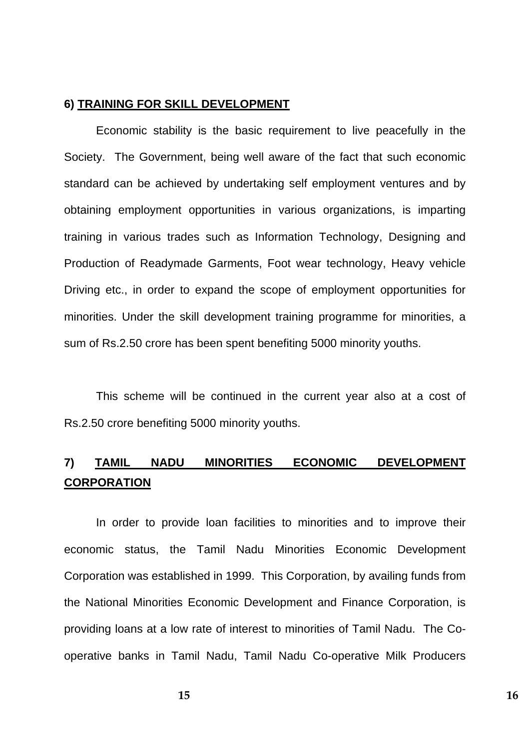## **6) TRAINING FOR SKILL DEVELOPMENT**

Economic stability is the basic requirement to live peacefully in the Society. The Government, being well aware of the fact that such economic standard can be achieved by undertaking self employment ventures and by obtaining employment opportunities in various organizations, is imparting training in various trades such as Information Technology, Designing and Production of Readymade Garments, Foot wear technology, Heavy vehicle Driving etc., in order to expand the scope of employment opportunities for minorities. Under the skill development training programme for minorities, a sum of Rs.2.50 crore has been spent benefiting 5000 minority youths.

 This scheme will be continued in the current year also at a cost of Rs.2.50 crore benefiting 5000 minority youths.

## **7) TAMIL NADU MINORITIES ECONOMIC DEVELOPMENT CORPORATION**

 In order to provide loan facilities to minorities and to improve their economic status, the Tamil Nadu Minorities Economic Development Corporation was established in 1999. This Corporation, by availing funds from the National Minorities Economic Development and Finance Corporation, is providing loans at a low rate of interest to minorities of Tamil Nadu. The Cooperative banks in Tamil Nadu, Tamil Nadu Co-operative Milk Producers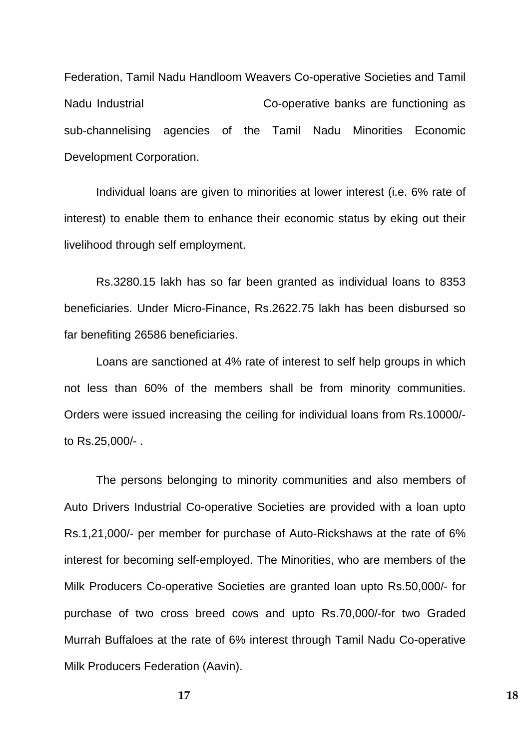Federation, Tamil Nadu Handloom Weavers Co-operative Societies and Tamil Nadu Industrial Co-operative banks are functioning as sub-channelising agencies of the Tamil Nadu Minorities Economic Development Corporation.

 Individual loans are given to minorities at lower interest (i.e. 6% rate of interest) to enable them to enhance their economic status by eking out their livelihood through self employment.

 Rs.3280.15 lakh has so far been granted as individual loans to 8353 beneficiaries. Under Micro-Finance, Rs.2622.75 lakh has been disbursed so far benefiting 26586 beneficiaries.

 Loans are sanctioned at 4% rate of interest to self help groups in which not less than 60% of the members shall be from minority communities. Orders were issued increasing the ceiling for individual loans from Rs.10000/ to Rs.25,000/- .

The persons belonging to minority communities and also members of Auto Drivers Industrial Co-operative Societies are provided with a loan upto Rs.1,21,000/- per member for purchase of Auto-Rickshaws at the rate of 6% interest for becoming self-employed. The Minorities, who are members of the Milk Producers Co-operative Societies are granted loan upto Rs.50,000/- for purchase of two cross breed cows and upto Rs.70,000/-for two Graded Murrah Buffaloes at the rate of 6% interest through Tamil Nadu Co-operative Milk Producers Federation (Aavin).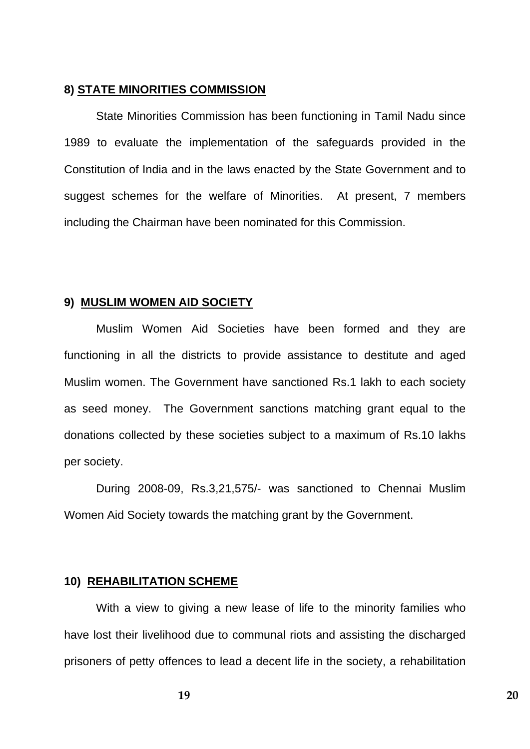## **8) STATE MINORITIES COMMISSION**

 State Minorities Commission has been functioning in Tamil Nadu since 1989 to evaluate the implementation of the safeguards provided in the Constitution of India and in the laws enacted by the State Government and to suggest schemes for the welfare of Minorities. At present, 7 members including the Chairman have been nominated for this Commission.

## **9) MUSLIM WOMEN AID SOCIETY**

 Muslim Women Aid Societies have been formed and they are functioning in all the districts to provide assistance to destitute and aged Muslim women. The Government have sanctioned Rs.1 lakh to each society as seed money. The Government sanctions matching grant equal to the donations collected by these societies subject to a maximum of Rs.10 lakhs per society.

 During 2008-09, Rs.3,21,575/- was sanctioned to Chennai Muslim Women Aid Society towards the matching grant by the Government.

#### **10) REHABILITATION SCHEME**

 With a view to giving a new lease of life to the minority families who have lost their livelihood due to communal riots and assisting the discharged prisoners of petty offences to lead a decent life in the society, a rehabilitation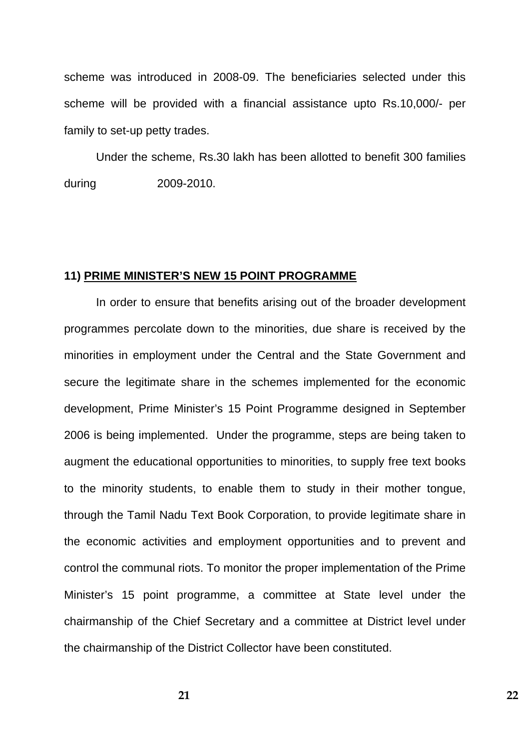scheme was introduced in 2008-09. The beneficiaries selected under this scheme will be provided with a financial assistance upto Rs.10,000/- per family to set-up petty trades.

 Under the scheme, Rs.30 lakh has been allotted to benefit 300 families during 2009-2010.

#### **11) PRIME MINISTER'S NEW 15 POINT PROGRAMME**

 In order to ensure that benefits arising out of the broader development programmes percolate down to the minorities, due share is received by the minorities in employment under the Central and the State Government and secure the legitimate share in the schemes implemented for the economic development, Prime Minister's 15 Point Programme designed in September 2006 is being implemented. Under the programme, steps are being taken to augment the educational opportunities to minorities, to supply free text books to the minority students, to enable them to study in their mother tongue, through the Tamil Nadu Text Book Corporation, to provide legitimate share in the economic activities and employment opportunities and to prevent and control the communal riots. To monitor the proper implementation of the Prime Minister's 15 point programme, a committee at State level under the chairmanship of the Chief Secretary and a committee at District level under the chairmanship of the District Collector have been constituted.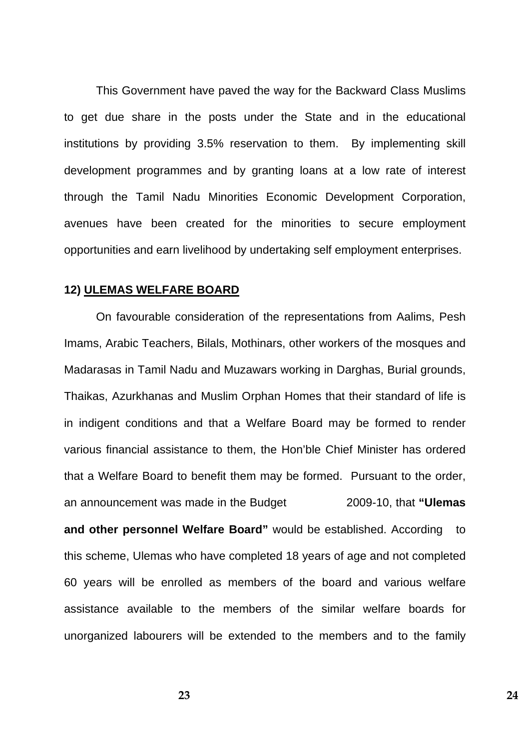This Government have paved the way for the Backward Class Muslims to get due share in the posts under the State and in the educational institutions by providing 3.5% reservation to them. By implementing skill development programmes and by granting loans at a low rate of interest through the Tamil Nadu Minorities Economic Development Corporation, avenues have been created for the minorities to secure employment opportunities and earn livelihood by undertaking self employment enterprises.

#### **12) ULEMAS WELFARE BOARD**

 On favourable consideration of the representations from Aalims, Pesh Imams, Arabic Teachers, Bilals, Mothinars, other workers of the mosques and Madarasas in Tamil Nadu and Muzawars working in Darghas, Burial grounds, Thaikas, Azurkhanas and Muslim Orphan Homes that their standard of life is in indigent conditions and that a Welfare Board may be formed to render various financial assistance to them, the Hon'ble Chief Minister has ordered that a Welfare Board to benefit them may be formed. Pursuant to the order, an announcement was made in the Budget 2009-10, that **"Ulemas and other personnel Welfare Board"** would be established. According to this scheme, Ulemas who have completed 18 years of age and not completed 60 years will be enrolled as members of the board and various welfare assistance available to the members of the similar welfare boards for unorganized labourers will be extended to the members and to the family